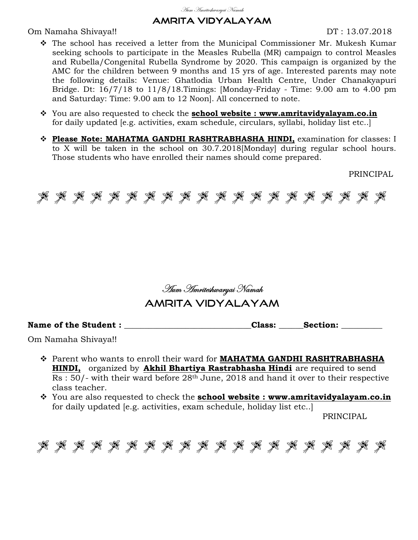#### <u>Aum Amriteshwaryai Namah</u>

## AMRITA VIDYALAYAM

Om Namaha Shivaya!! DT : 13.07.2018

- The school has received a letter from the Municipal Commissioner Mr. Mukesh Kumar seeking schools to participate in the Measles Rubella (MR) campaign to control Measles and Rubella/Congenital Rubella Syndrome by 2020. This campaign is organized by the AMC for the children between 9 months and 15 yrs of age. Interested parents may note the following details: Venue: Ghatlodia Urban Health Centre, Under Chanakyapuri Bridge. Dt: 16/7/18 to 11/8/18.Timings: [Monday-Friday - Time: 9.00 am to 4.00 pm and Saturday: Time: 9.00 am to 12 Noon]. All concerned to note.
- You are also requested to check the **school website : www.amritavidyalayam.co.in** for daily updated [e.g. activities, exam schedule, circulars, syllabi, holiday list etc..]
- **Please Note: MAHATMA GANDHI RASHTRABHASHA HINDI,** examination for classes: I to X will be taken in the school on 30.7.2018[Monday] during regular school hours. Those students who have enrolled their names should come prepared.

PRINCIPAL



*Hum Hmriteshwaryai Namah* 

# AMRITA VIDYALAYAM

Name of the Student :  $\blacksquare$ 

Om Namaha Shivaya!!

- Parent who wants to enroll their ward for **MAHATMA GANDHI RASHTRABHASHA HINDI,** organized by **Akhil Bhartiya Rastrabhasha Hindi** are required to send Rs : 50/- with their ward before 28th June, 2018 and hand it over to their respective class teacher.
- You are also requested to check the **school website : www.amritavidyalayam.co.in** for daily updated [e.g. activities, exam schedule, holiday list etc..]

PRINCIPAL